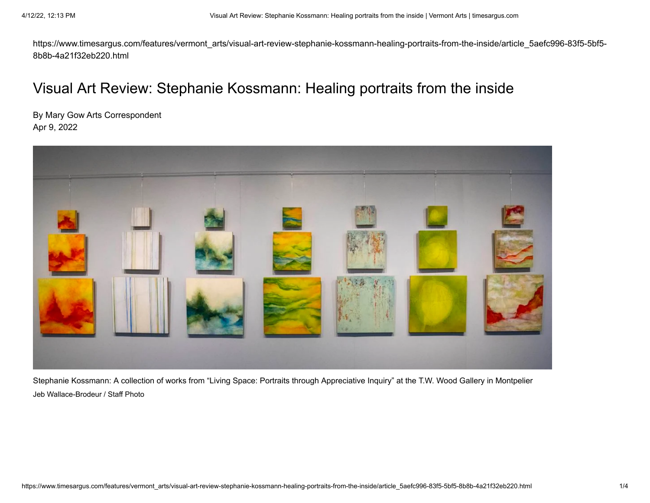https://www.timesargus.com/features/vermont\_arts/visual-art-review-stephanie-kossmann-healing-portraits-from-the-inside/article\_5aefc996-83f5-5bf5- 8b8b-4a21f32eb220.html

## Visual Art Review: Stephanie Kossmann: Healing portraits from the inside

By Mary Gow Arts Correspondent Apr 9, 2022



Stephanie Kossmann: A collection of works from "Living Space: Portraits through Appreciative Inquiry" at the T.W. Wood Gallery in Montpelier Jeb Wallace-Brodeur / Staff Photo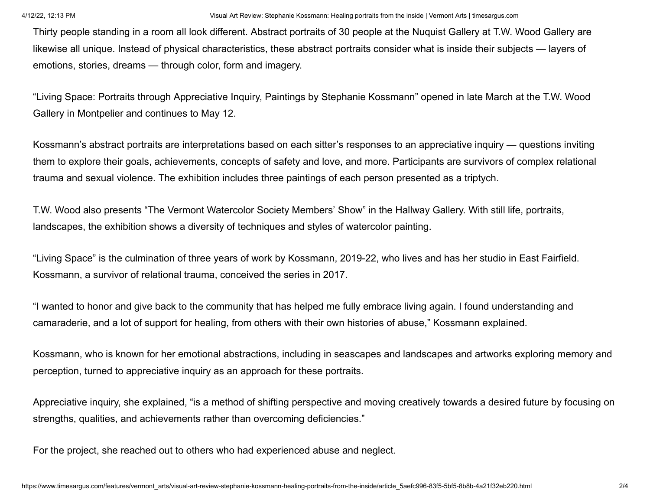Thirty people standing in a room all look different. Abstract portraits of 30 people at the Nuquist Gallery at T.W. Wood Gallery are likewise all unique. Instead of physical characteristics, these abstract portraits consider what is inside their subjects — layers of emotions, stories, dreams — through color, form and imagery.

"Living Space: Portraits through Appreciative Inquiry, Paintings by Stephanie Kossmann" opened in late March at the T.W. Wood Gallery in Montpelier and continues to May 12.

Kossmann's abstract portraits are interpretations based on each sitter's responses to an appreciative inquiry — questions inviting them to explore their goals, achievements, concepts of safety and love, and more. Participants are survivors of complex relational trauma and sexual violence. The exhibition includes three paintings of each person presented as a triptych.

T.W. Wood also presents "The Vermont Watercolor Society Members' Show" in the Hallway Gallery. With still life, portraits, landscapes, the exhibition shows a diversity of techniques and styles of watercolor painting.

"Living Space" is the culmination of three years of work by Kossmann, 2019-22, who lives and has her studio in East Fairfield. Kossmann, a survivor of relational trauma, conceived the series in 2017.

"I wanted to honor and give back to the community that has helped me fully embrace living again. I found understanding and camaraderie, and a lot of support for healing, from others with their own histories of abuse," Kossmann explained.

Kossmann, who is known for her emotional abstractions, including in seascapes and landscapes and artworks exploring memory and perception, turned to appreciative inquiry as an approach for these portraits.

Appreciative inquiry, she explained, "is a method of shifting perspective and moving creatively towards a desired future by focusing on strengths, qualities, and achievements rather than overcoming deficiencies."

For the project, she reached out to others who had experienced abuse and neglect.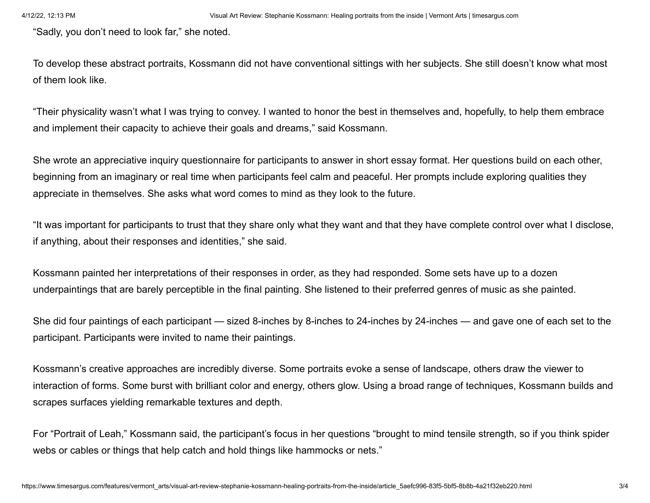"Sadly, you don't need to look far," she noted.

To develop these abstract portraits, Kossmann did not have conventional sittings with her subjects. She still doesn't know what most of them look like.

"Their physicality wasn't what I was trying to convey. I wanted to honor the best in themselves and, hopefully, to help them embrace and implement their capacity to achieve their goals and dreams," said Kossmann.

She wrote an appreciative inquiry questionnaire for participants to answer in short essay format. Her questions build on each other, beginning from an imaginary or real time when participants feel calm and peaceful. Her prompts include exploring qualities they appreciate in themselves. She asks what word comes to mind as they look to the future.

"It was important for participants to trust that they share only what they want and that they have complete control over what I disclose, if anything, about their responses and identities," she said.

Kossmann painted her interpretations of their responses in order, as they had responded. Some sets have up to a dozen underpaintings that are barely perceptible in the final painting. She listened to their preferred genres of music as she painted.

She did four paintings of each participant — sized 8-inches by 8-inches to 24-inches by 24-inches — and gave one of each set to the participant. Participants were invited to name their paintings.

Kossmann's creative approaches are incredibly diverse. Some portraits evoke a sense of landscape, others draw the viewer to interaction of forms. Some burst with brilliant color and energy, others glow. Using a broad range of techniques, Kossmann builds and scrapes surfaces yielding remarkable textures and depth.

For "Portrait of Leah," Kossmann said, the participant's focus in her questions "brought to mind tensile strength, so if you think spider webs or cables or things that help catch and hold things like hammocks or nets."